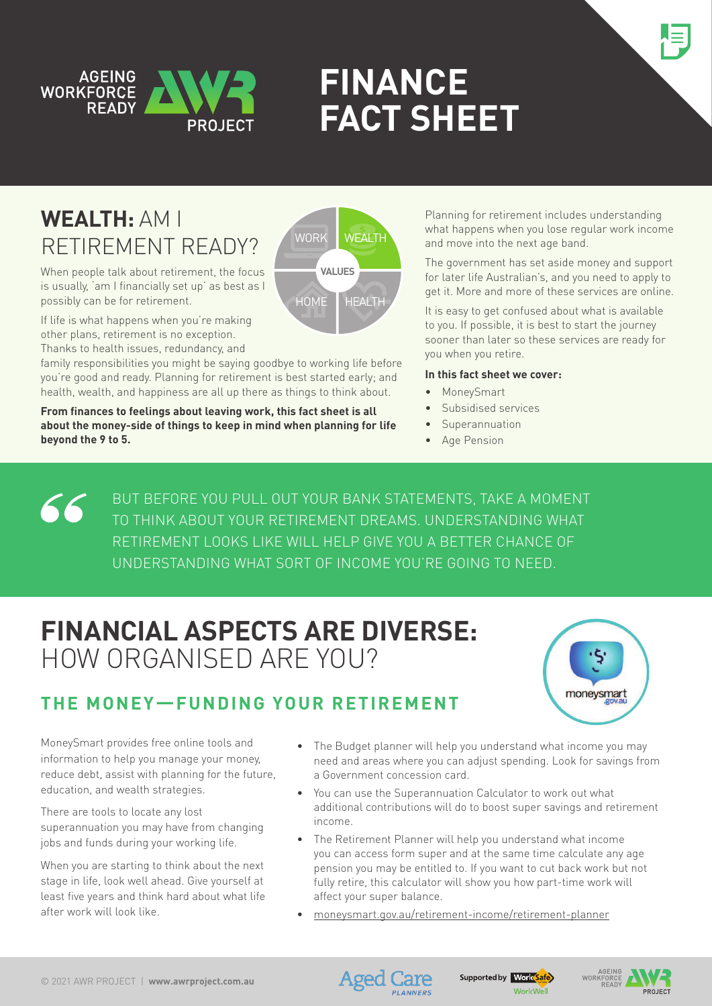



# **FINANCE FACT sheet**

## **Wealth:** Am I retirement ready?

When people talk about retirement, the focus is usually, 'am I financially set up' as best as I



If life is what happens when you're making other plans, retirement is no exception. Thanks to health issues, redundancy, and

possibly can be for retirement.

family responsibilities you might be saying goodbye to working life before you're good and ready. Planning for retirement is best started early; and health, wealth, and happiness are all up there as things to think about.

**From finances to feelings about leaving work, this fact sheet is all about the money-side of things to keep in mind when planning for life beyond the 9 to 5.**

Planning for retirement includes understanding what happens when you lose regular work income and move into the next age band.

The government has set aside money and support for later life Australian's, and you need to apply to get it. More and more of these services are online.

It is easy to get confused about what is available to you. If possible, it is best to start the journey sooner than later so these services are ready for you when you retire.

#### **In this fact sheet we cover:**

- MoneySmart
- Subsidised services
- Superannuation
- Age Pension

But before you pull out your bank statements, take a moment 66 to think about your retirement dreams. Understanding what retirement looks like will help give you a better chance of understanding what sort of income you're going to need.

## **Financial Aspects are diverse:**  How organiSed are you?





MoneySmart provides free online tools and information to help you manage your money, reduce debt, assist with planning for the future, education, and wealth strategies.

There are tools to locate any lost superannuation you may have from changing jobs and funds during your working life.

When you are starting to think about the next stage in life, look well ahead. Give yourself at least five years and think hard about what life after work will look like.

- The Budget planner will help you understand what income you may need and areas where you can adjust spending. Look for savings from a Government concession card.
- You can use the Superannuation Calculator to work out what additional contributions will do to boost super savings and retirement income.
- The Retirement Planner will help you understand what income you can access form super and at the same time calculate any age pension you may be entitled to. If you want to cut back work but not fully retire, this calculator will show you how part-time work will affect your super balance.
- [moneysmart.gov.au/retirement-income/retirement-planner](https://moneysmart.gov.au/retirement-income/retirement-planner)



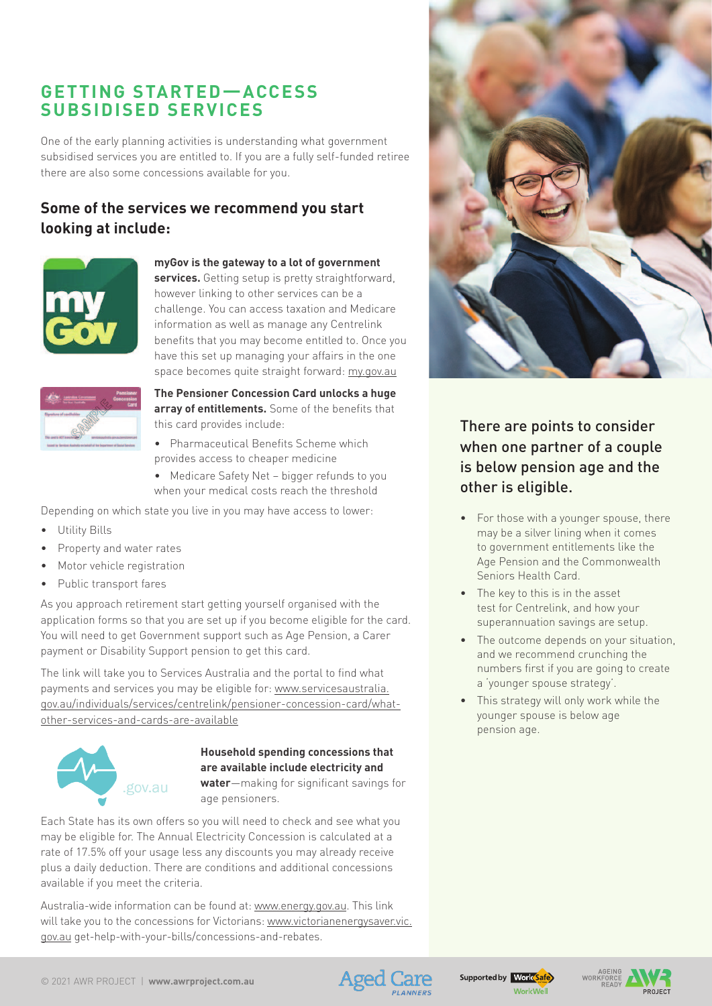## **Getting Started—access subsidised services**

One of the early planning activities is understanding what government subsidised services you are entitled to. If you are a fully self-funded retiree there are also some concessions available for you.

### **Some of the services we recommend you start looking at include:**



#### **myGov is the gateway to a lot of government**

**services.** Getting setup is pretty straightforward, however linking to other services can be a challenge. You can access taxation and Medicare information as well as manage any Centrelink benefits that you may become entitled to. Once you have this set up managing your affairs in the one space becomes quite straight forward: [my.gov.au](https://my.gov.au)



**The Pensioner Concession Card unlocks a huge array of entitlements.** Some of the benefits that this card provides include:

- • Pharmaceutical Benefits Scheme which provides access to cheaper medicine
- Medicare Safety Net bigger refunds to you when your medical costs reach the threshold

Depending on which state you live in you may have access to lower:

- • Utility Bills
- Property and water rates
- Motor vehicle registration
- • Public transport fares

As you approach retirement start getting yourself organised with the application forms so that you are set up if you become eligible for the card. You will need to get Government support such as Age Pension, a Carer payment or Disability Support pension to get this card.

The link will take you to Services Australia and the portal to find what payments and services you may be eligible for: [www.servicesaustralia.](https://www.servicesaustralia.gov.au/individuals/services/centrelink/pensioner-concession-card/what-other-services-and-cards-are-available) [gov.au/individuals/services/centrelink/pensioner-concession-card/what](https://www.servicesaustralia.gov.au/individuals/services/centrelink/pensioner-concession-card/what-other-services-and-cards-are-available)[other-services-and-cards-are-available](https://www.servicesaustralia.gov.au/individuals/services/centrelink/pensioner-concession-card/what-other-services-and-cards-are-available)



#### **Household spending concessions that are available include electricity and**

**water**—making for significant savings for age pensioners.

Each State has its own offers so you will need to check and see what you may be eligible for. The Annual Electricity Concession is calculated at a rate of 17.5% off your usage less any discounts you may already receive plus a daily deduction. There are conditions and additional concessions available if you meet the criteria.

Australia-wide information can be found at: [www.energy.gov.au.](https://www.energy.gov.au) This link will take you to the concessions for Victorians: [www.victorianenergysaver.vic.](https://www.victorianenergysaver.vic.gov.au) [gov.au](https://www.victorianenergysaver.vic.gov.au) get-help-with-your-bills/concessions-and-rebates.



There are points to consider when one partner of a couple is below pension age and the other is eligible.

- For those with a younger spouse, there may be a silver lining when it comes to government entitlements like the Age Pension and the Commonwealth Seniors Health Card.
- The key to this is in the asset test for Centrelink, and how your superannuation savings are setup.
- The outcome depends on your situation, and we recommend crunching the numbers first if you are going to create a 'younger spouse strategy'.
- • This strategy will only work while the younger spouse is below age pension age.



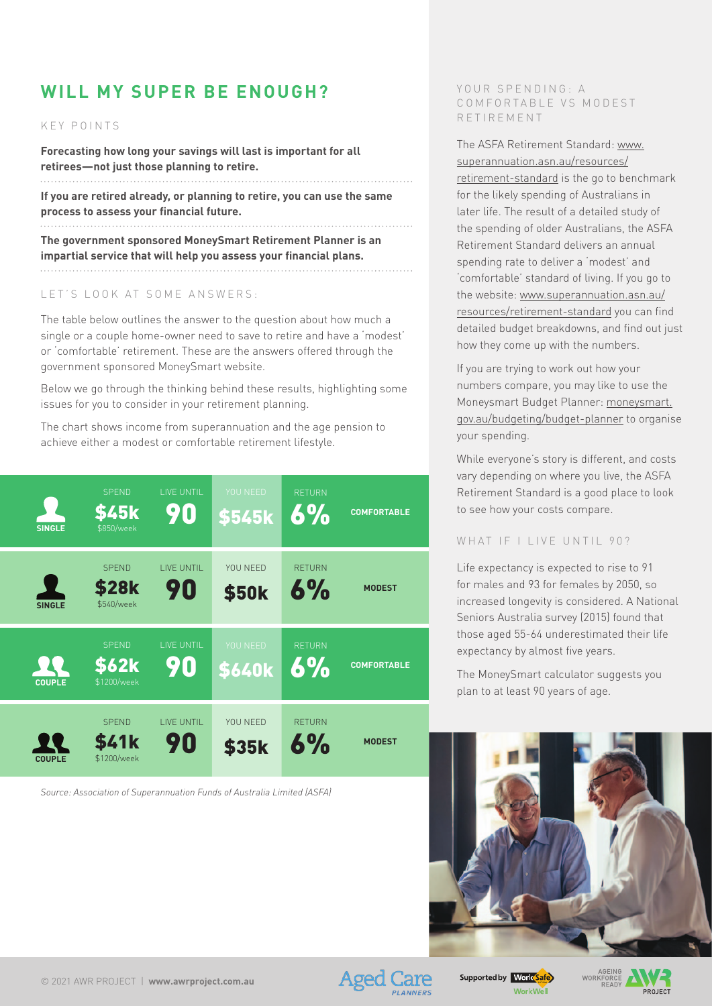## **Will my Super be enough?**

#### K E Y POINTS

**Forecasting how long your savings will last is important for all retirees—not just those planning to retire.**

**If you are retired already, or planning to retire, you can use the same process to assess your financial future.**

**The government sponsored MoneySmart Retirement Planner is an impartial service that will help you assess your financial plans.** 

#### LET'S LOOK AT SOME ANSWERS:

The table below outlines the answer to the question about how much a single or a couple home-owner need to save to retire and have a 'modest' or 'comfortable' retirement. These are the answers offered through the government sponsored MoneySmart website.

Below we go through the thinking behind these results, highlighting some issues for you to consider in your retirement planning.

The chart shows income from superannuation and the age pension to achieve either a modest or comfortable retirement lifestyle.

| <b>SINGLE</b> | <b>SPEND</b><br><b>\$45k</b><br>\$850/week  | LIVE UNTIL<br>90         | YOU NEED<br>\$545k        | <b>RETURN</b><br>6% | <b>COMFORTABLE</b> |
|---------------|---------------------------------------------|--------------------------|---------------------------|---------------------|--------------------|
| <b>SINGLE</b> | <b>SPEND</b><br><b>\$28k</b><br>\$540/week  | <b>I IVE UNTIL</b><br>90 | YOU NEED<br><b>\$50k</b>  | <b>RFTURN</b><br>6% | <b>MODEST</b>      |
| <b>COUPLE</b> | <b>SPEND</b><br><b>\$62k</b><br>\$1200/week | <b>LIVE UNTIL</b><br>90  | YOU NEED<br><b>\$640k</b> | <b>RETURN</b><br>6% | <b>COMFORTABLE</b> |
| <b>COUPLE</b> | <b>SPEND</b><br><b>\$41k</b><br>\$1200/week | <b>LIVE UNTIL</b><br>90  | YOU NEED<br><b>\$35k</b>  | <b>RETURN</b><br>6% | <b>MODEST</b>      |

*Source: Association of Superannuation Funds of Australia Limited (ASFA)*

#### YOUR SPENDING: A COMFORTABLE VS MODEST R e tir e m e n t

The ASFA Retirement Standard: [www.](https://www.superannuation.asn.au/resources/retirement-standard) [superannuation.asn.au/resources/](https://www.superannuation.asn.au/resources/retirement-standard) [retirement-standard](https://www.superannuation.asn.au/resources/retirement-standard) is the go to benchmark

for the likely spending of Australians in later life. The result of a detailed study of the spending of older Australians, the ASFA Retirement Standard delivers an annual spending rate to deliver a 'modest' and 'comfortable' standard of living. If you go to the website: [www.superannuation.asn.au/](https://www.superannuation.asn.au/resources/retirement-standard) [resources/retirement-standard](https://www.superannuation.asn.au/resources/retirement-standard) you can find detailed budget breakdowns, and find out just how they come up with the numbers.

If you are trying to work out how your numbers compare, you may like to use the Moneysmart Budget Planner: [moneysmart.](https://moneysmart.gov.au/budgeting/budget-planner) [gov.au/budgeting/budget-planner](https://moneysmart.gov.au/budgeting/budget-planner) to organise your spending.

While everyone's story is different, and costs vary depending on where you live, the ASFA Retirement Standard is a good place to look to see how your costs compare.

#### WHAT IF I LIVE UNTIL 90?

Life expectancy is expected to rise to 91 for males and 93 for females by 2050, so increased longevity is considered. A National Seniors Australia survey (2015) found that those aged 55-64 underestimated their life expectancy by almost five years.

The MoneySmart calculator suggests you plan to at least 90 years of age.



AGEING<br>WORKFORCE<br>READY

**PPO IECT** 



Supported by Work Safe **WorkWell**